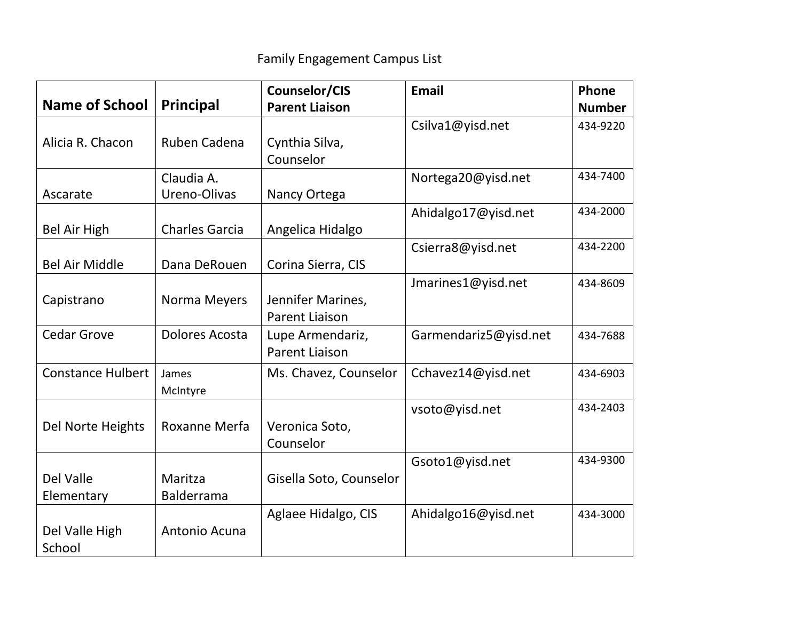|                          |                       | Counselor/CIS           | <b>Email</b>          | Phone         |
|--------------------------|-----------------------|-------------------------|-----------------------|---------------|
| Name of School           | <b>Principal</b>      | <b>Parent Liaison</b>   |                       | <b>Number</b> |
|                          |                       |                         | Csilva1@yisd.net      | 434-9220      |
| Alicia R. Chacon         | Ruben Cadena          | Cynthia Silva,          |                       |               |
|                          |                       | Counselor               |                       |               |
|                          | Claudia A.            |                         | Nortega20@yisd.net    | 434-7400      |
| Ascarate                 | Ureno-Olivas          | Nancy Ortega            |                       |               |
|                          |                       |                         | Ahidalgo17@yisd.net   | 434-2000      |
| Bel Air High             | <b>Charles Garcia</b> | Angelica Hidalgo        |                       |               |
|                          |                       |                         | Csierra8@yisd.net     | 434-2200      |
| <b>Bel Air Middle</b>    | Dana DeRouen          | Corina Sierra, CIS      |                       |               |
|                          |                       |                         | Jmarines1@yisd.net    | 434-8609      |
| Capistrano               | Norma Meyers          | Jennifer Marines,       |                       |               |
|                          |                       | <b>Parent Liaison</b>   |                       |               |
| <b>Cedar Grove</b>       | Dolores Acosta        | Lupe Armendariz,        | Garmendariz5@yisd.net | 434-7688      |
|                          |                       | <b>Parent Liaison</b>   |                       |               |
| <b>Constance Hulbert</b> | James                 | Ms. Chavez, Counselor   | Cchavez14@yisd.net    | 434-6903      |
|                          | McIntyre              |                         |                       |               |
|                          |                       |                         | vsoto@yisd.net        | 434-2403      |
| Del Norte Heights        | Roxanne Merfa         | Veronica Soto,          |                       |               |
|                          |                       | Counselor               |                       |               |
|                          |                       |                         | Gsoto1@yisd.net       | 434-9300      |
| Del Valle                | Maritza               | Gisella Soto, Counselor |                       |               |
| Elementary               | <b>Balderrama</b>     |                         |                       |               |
|                          |                       | Aglaee Hidalgo, CIS     | Ahidalgo16@yisd.net   | 434-3000      |
| Del Valle High           | Antonio Acuna         |                         |                       |               |
| School                   |                       |                         |                       |               |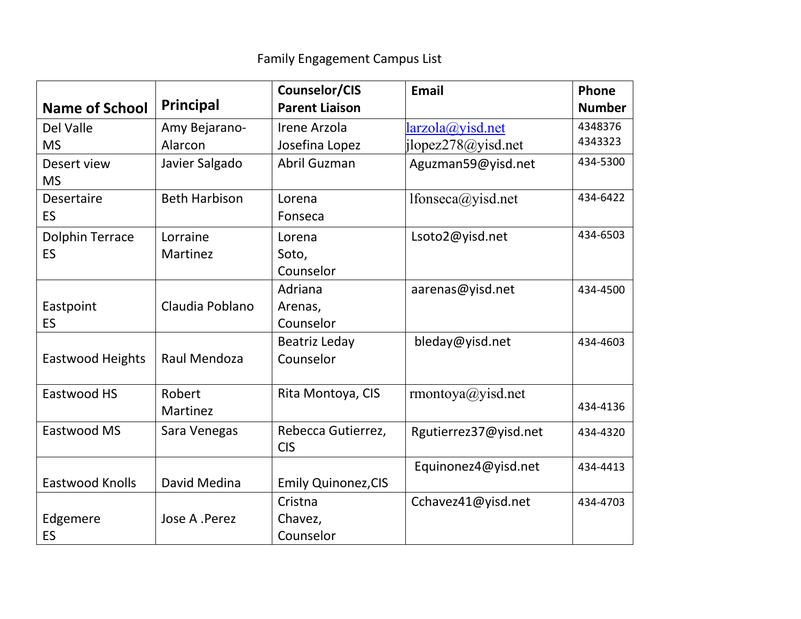|                        | Principal            | Counselor/CIS              | <b>Email</b>             | Phone         |
|------------------------|----------------------|----------------------------|--------------------------|---------------|
| <b>Name of School</b>  |                      | <b>Parent Liaison</b>      |                          | <b>Number</b> |
| Del Valle              | Amy Bejarano-        | Irene Arzola               | larzola@yisd.net         | 4348376       |
| <b>MS</b>              | Alarcon              | Josefina Lopez             | jlopez278@yisd.net       | 4343323       |
| Desert view            | Javier Salgado       | Abril Guzman               | Aguzman59@yisd.net       | 434-5300      |
| <b>MS</b>              |                      |                            |                          |               |
| <b>Desertaire</b>      | <b>Beth Harbison</b> | Lorena                     | lfonseca@yisd.net        | 434-6422      |
| <b>ES</b>              |                      | Fonseca                    |                          |               |
| <b>Dolphin Terrace</b> | Lorraine             | Lorena                     | Lsoto2@yisd.net          | 434-6503      |
| <b>ES</b>              | Martinez             | Soto,                      |                          |               |
|                        |                      | Counselor                  |                          |               |
|                        |                      | Adriana                    | aarenas@yisd.net         | 434-4500      |
| Eastpoint              | Claudia Poblano      | Arenas,                    |                          |               |
| ES.                    |                      | Counselor                  |                          |               |
|                        |                      | Beatriz Leday              | bleday@yisd.net          | 434-4603      |
| Eastwood Heights       | Raul Mendoza         | Counselor                  |                          |               |
|                        |                      |                            |                          |               |
| Eastwood HS            | Robert               | Rita Montoya, CIS          | $r$ montoya $@$ yisd.net |               |
|                        | Martinez             |                            |                          | 434-4136      |
| Eastwood MS            | Sara Venegas         | Rebecca Gutierrez,         | Rgutierrez37@yisd.net    | 434-4320      |
|                        |                      | <b>CIS</b>                 |                          |               |
|                        |                      |                            | Equinonez4@yisd.net      | 434-4413      |
| <b>Eastwood Knolls</b> | David Medina         | <b>Emily Quinonez, CIS</b> |                          |               |
|                        |                      | Cristna                    | Cchavez41@yisd.net       | 434-4703      |
| Edgemere               | Jose A .Perez        | Chavez,                    |                          |               |
| <b>ES</b>              |                      | Counselor                  |                          |               |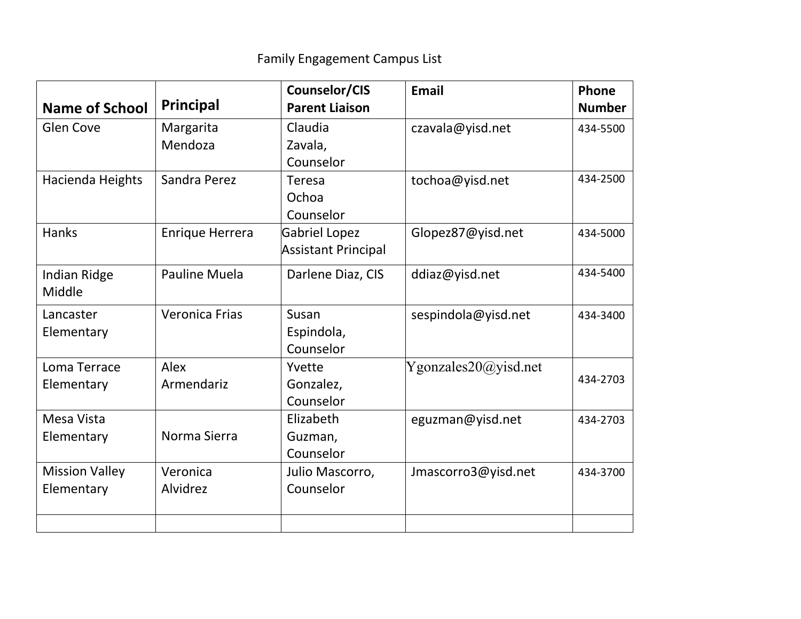| <b>Name of School</b> | Principal              | Counselor/CIS<br><b>Parent Liaison</b> | <b>Email</b>         | Phone<br><b>Number</b> |
|-----------------------|------------------------|----------------------------------------|----------------------|------------------------|
| <b>Glen Cove</b>      | Margarita              | Claudia                                | czavala@yisd.net     | 434-5500               |
|                       | Mendoza                | Zavala,                                |                      |                        |
|                       |                        | Counselor                              |                      |                        |
| Hacienda Heights      | Sandra Perez           | Teresa                                 | tochoa@yisd.net      | 434-2500               |
|                       |                        | Ochoa                                  |                      |                        |
|                       |                        | Counselor                              |                      |                        |
| <b>Hanks</b>          | <b>Enrique Herrera</b> | <b>Gabriel Lopez</b>                   | Glopez87@yisd.net    | 434-5000               |
|                       |                        | <b>Assistant Principal</b>             |                      |                        |
| Indian Ridge          | <b>Pauline Muela</b>   | Darlene Diaz, CIS                      | ddiaz@yisd.net       | 434-5400               |
| Middle                |                        |                                        |                      |                        |
| Lancaster             | <b>Veronica Frias</b>  | Susan                                  | sespindola@yisd.net  | 434-3400               |
| Elementary            |                        | Espindola,                             |                      |                        |
|                       |                        | Counselor                              |                      |                        |
| Loma Terrace          | Alex                   | Yvette                                 | Ygonzales20@yisd.net |                        |
| Elementary            | Armendariz             | Gonzalez,                              |                      | 434-2703               |
|                       |                        | Counselor                              |                      |                        |
| Mesa Vista            |                        | Elizabeth                              | eguzman@yisd.net     | 434-2703               |
| Elementary            | Norma Sierra           | Guzman,                                |                      |                        |
|                       |                        | Counselor                              |                      |                        |
| <b>Mission Valley</b> | Veronica               | Julio Mascorro,                        | Jmascorro3@yisd.net  | 434-3700               |
| Elementary            | Alvidrez               | Counselor                              |                      |                        |
|                       |                        |                                        |                      |                        |
|                       |                        |                                        |                      |                        |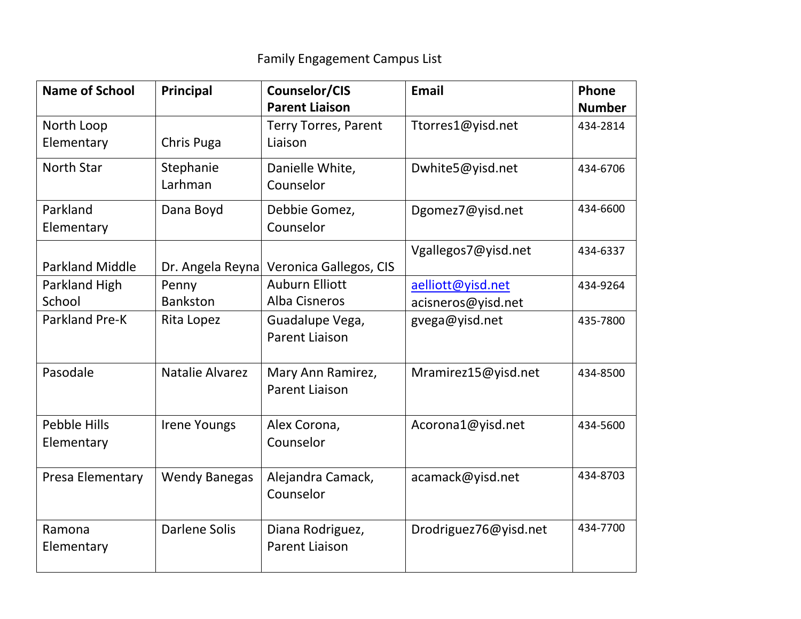| <b>Name of School</b>  | Principal            | Counselor/CIS               | <b>Email</b>          | Phone         |
|------------------------|----------------------|-----------------------------|-----------------------|---------------|
|                        |                      | <b>Parent Liaison</b>       |                       | <b>Number</b> |
| North Loop             |                      | <b>Terry Torres, Parent</b> | Ttorres1@yisd.net     | 434-2814      |
| Elementary             | Chris Puga           | Liaison                     |                       |               |
| <b>North Star</b>      | Stephanie            | Danielle White,             | Dwhite5@yisd.net      | 434-6706      |
|                        | Larhman              | Counselor                   |                       |               |
| Parkland               | Dana Boyd            | Debbie Gomez,               | Dgomez7@yisd.net      | 434-6600      |
| Elementary             |                      | Counselor                   |                       |               |
|                        |                      |                             | Vgallegos7@yisd.net   | 434-6337      |
| <b>Parkland Middle</b> | Dr. Angela Reyna     | Veronica Gallegos, CIS      |                       |               |
| Parkland High          | Penny                | <b>Auburn Elliott</b>       | aelliott@yisd.net     | 434-9264      |
| School                 | <b>Bankston</b>      | Alba Cisneros               | acisneros@yisd.net    |               |
| Parkland Pre-K         | Rita Lopez           | Guadalupe Vega,             | gvega@yisd.net        | 435-7800      |
|                        |                      | <b>Parent Liaison</b>       |                       |               |
|                        |                      |                             |                       |               |
| Pasodale               | Natalie Alvarez      | Mary Ann Ramirez,           | Mramirez15@yisd.net   | 434-8500      |
|                        |                      | <b>Parent Liaison</b>       |                       |               |
| <b>Pebble Hills</b>    | <b>Irene Youngs</b>  | Alex Corona,                | Acorona1@yisd.net     | 434-5600      |
| Elementary             |                      | Counselor                   |                       |               |
|                        |                      |                             |                       |               |
| Presa Elementary       | <b>Wendy Banegas</b> | Alejandra Camack,           | acamack@yisd.net      | 434-8703      |
|                        |                      | Counselor                   |                       |               |
|                        |                      |                             |                       |               |
| Ramona                 | <b>Darlene Solis</b> | Diana Rodriguez,            | Drodriguez76@yisd.net | 434-7700      |
| Elementary             |                      | <b>Parent Liaison</b>       |                       |               |
|                        |                      |                             |                       |               |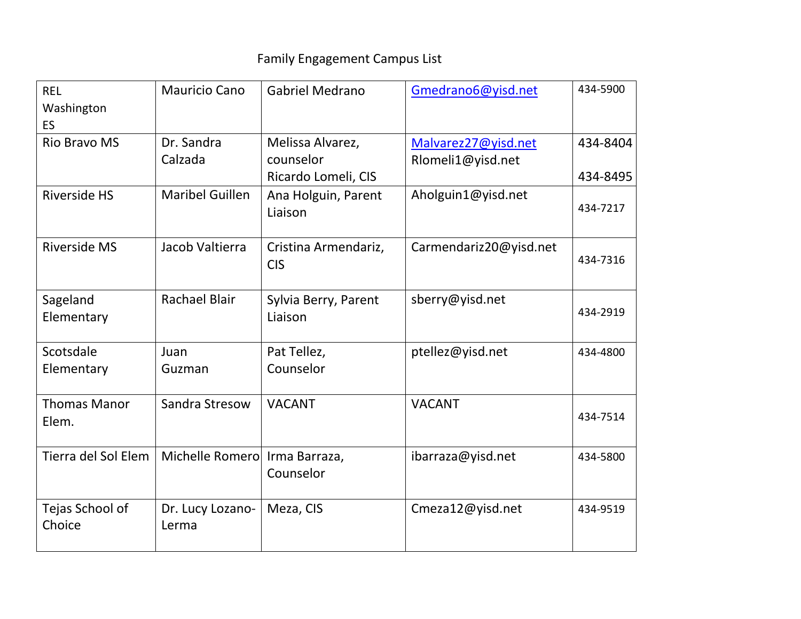| <b>REL</b><br>Washington<br><b>ES</b> | Mauricio Cano                 | <b>Gabriel Medrano</b>                                | Gmedrano6@yisd.net                       | 434-5900             |
|---------------------------------------|-------------------------------|-------------------------------------------------------|------------------------------------------|----------------------|
| <b>Rio Bravo MS</b>                   | Dr. Sandra<br>Calzada         | Melissa Alvarez,<br>counselor                         | Malvarez27@yisd.net<br>Rlomeli1@yisd.net | 434-8404             |
| <b>Riverside HS</b>                   | <b>Maribel Guillen</b>        | Ricardo Lomeli, CIS<br>Ana Holguin, Parent<br>Liaison | Aholguin1@yisd.net                       | 434-8495<br>434-7217 |
| <b>Riverside MS</b>                   | Jacob Valtierra               | Cristina Armendariz,<br><b>CIS</b>                    | Carmendariz20@yisd.net                   | 434-7316             |
| Sageland<br>Elementary                | <b>Rachael Blair</b>          | Sylvia Berry, Parent<br>Liaison                       | sberry@yisd.net                          | 434-2919             |
| Scotsdale<br>Elementary               | Juan<br>Guzman                | Pat Tellez,<br>Counselor                              | ptellez@yisd.net                         | 434-4800             |
| <b>Thomas Manor</b><br>Elem.          | Sandra Stresow                | <b>VACANT</b>                                         | <b>VACANT</b>                            | 434-7514             |
| Tierra del Sol Elem                   | Michelle Romero Irma Barraza, | Counselor                                             | ibarraza@yisd.net                        | 434-5800             |
| Tejas School of<br>Choice             | Dr. Lucy Lozano-<br>Lerma     | Meza, CIS                                             | Cmeza12@yisd.net                         | 434-9519             |